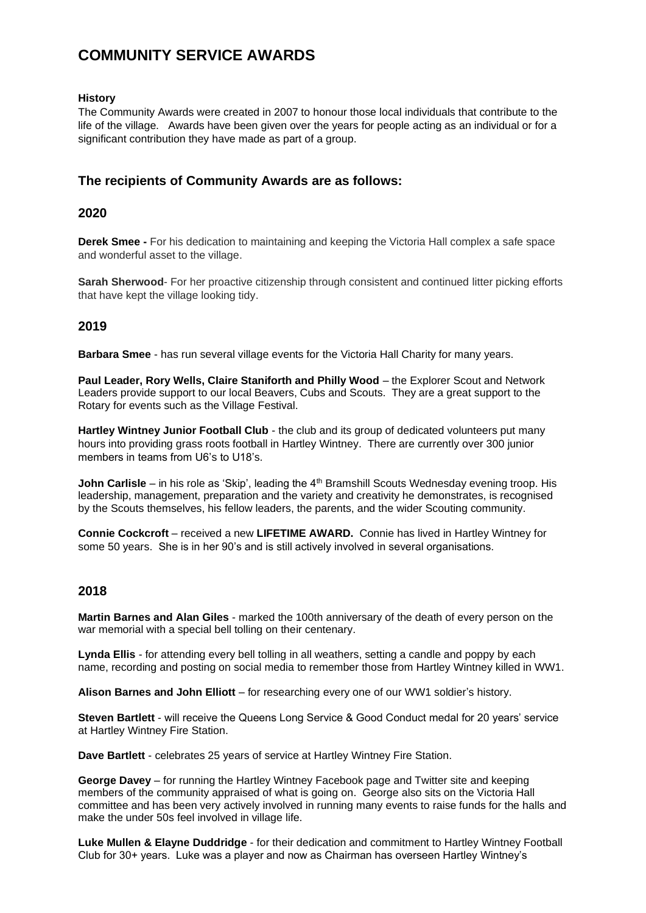# **COMMUNITY SERVICE AWARDS**

#### **History**

The Community Awards were created in 2007 to honour those local individuals that contribute to the life of the village. Awards have been given over the years for people acting as an individual or for a significant contribution they have made as part of a group.

## **The recipients of Community Awards are as follows:**

#### **2020**

**Derek Smee -** For his dedication to maintaining and keeping the Victoria Hall complex a safe space and wonderful asset to the village.

**Sarah Sherwood-** For her proactive citizenship through consistent and continued litter picking efforts that have kept the village looking tidy.

## **2019**

**Barbara Smee** - has run several village events for the Victoria Hall Charity for many years.

**Paul Leader, Rory Wells, Claire Staniforth and Philly Wood** – the Explorer Scout and Network Leaders provide support to our local Beavers, Cubs and Scouts. They are a great support to the Rotary for events such as the Village Festival.

**Hartley Wintney Junior Football Club** - the club and its group of dedicated volunteers put many hours into providing grass roots football in Hartley Wintney. There are currently over 300 junior members in teams from U6's to U18's.

**John Carlisle** – in his role as 'Skip', leading the 4<sup>th</sup> Bramshill Scouts Wednesday evening troop. His leadership, management, preparation and the variety and creativity he demonstrates, is recognised by the Scouts themselves, his fellow leaders, the parents, and the wider Scouting community.

**Connie Cockcroft** – received a new **LIFETIME AWARD.** Connie has lived in Hartley Wintney for some 50 years. She is in her 90's and is still actively involved in several organisations.

## **2018**

**Martin Barnes and Alan Giles** - marked the 100th anniversary of the death of every person on the war memorial with a special bell tolling on their centenary.

**Lynda Ellis** - for attending every bell tolling in all weathers, setting a candle and poppy by each name, recording and posting on social media to remember those from Hartley Wintney killed in WW1.

**Alison Barnes and John Elliott** – for researching every one of our WW1 soldier's history.

**Steven Bartlett** - will receive the Queens Long Service & Good Conduct medal for 20 years' service at Hartley Wintney Fire Station.

**Dave Bartlett** - celebrates 25 years of service at Hartley Wintney Fire Station.

**George Davey** – for running the Hartley Wintney Facebook page and Twitter site and keeping members of the community appraised of what is going on. George also sits on the Victoria Hall committee and has been very actively involved in running many events to raise funds for the halls and make the under 50s feel involved in village life.

**Luke Mullen & Elayne Duddridge** - for their dedication and commitment to Hartley Wintney Football Club for 30+ years. Luke was a player and now as Chairman has overseen Hartley Wintney's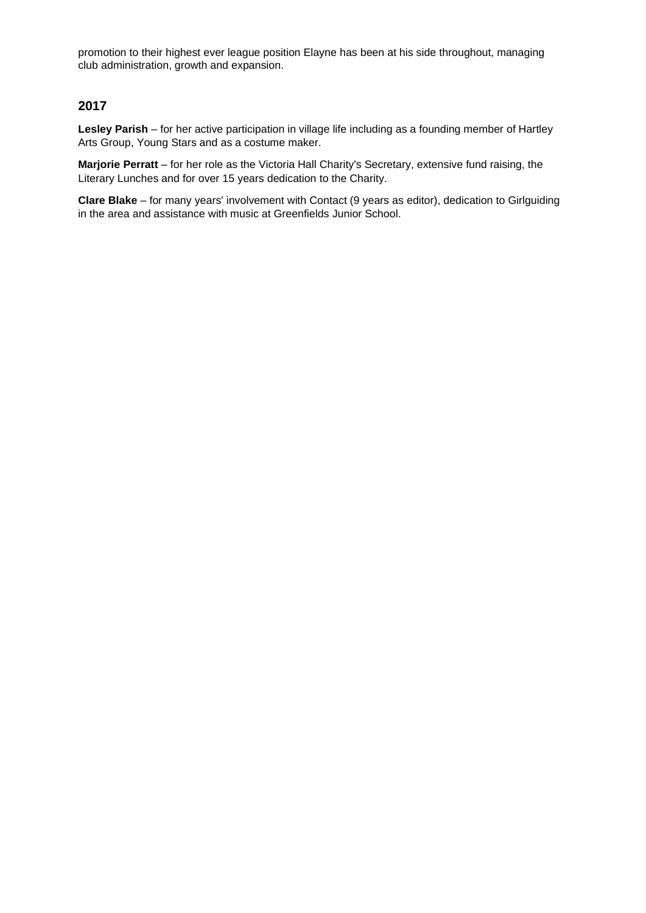promotion to their highest ever league position Elayne has been at his side throughout, managing club administration, growth and expansion.

## **2017**

**Lesley Parish** – for her active participation in village life including as a founding member of Hartley Arts Group, Young Stars and as a costume maker.

**Marjorie Perratt** – for her role as the Victoria Hall Charity's Secretary, extensive fund raising, the Literary Lunches and for over 15 years dedication to the Charity.

**Clare Blake** – for many years' involvement with Contact (9 years as editor), dedication to Girlguiding in the area and assistance with music at Greenfields Junior School.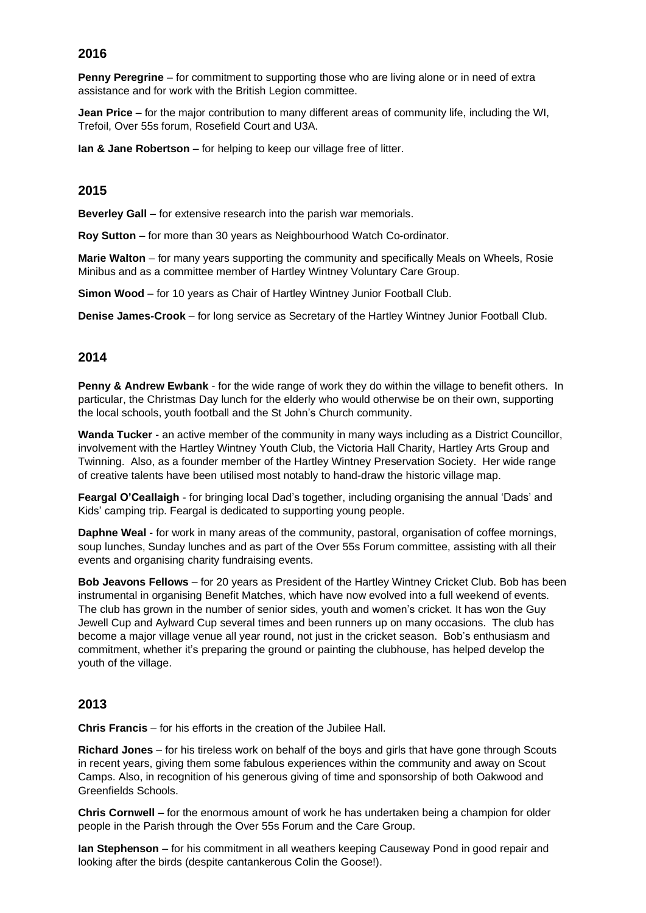## **2016**

**Penny Peregrine** – for commitment to supporting those who are living alone or in need of extra assistance and for work with the British Legion committee.

**Jean Price** – for the major contribution to many different areas of community life, including the WI, Trefoil, Over 55s forum, Rosefield Court and U3A.

**Ian & Jane Robertson** – for helping to keep our village free of litter.

## **2015**

**Beverley Gall** – for extensive research into the parish war memorials.

**Roy Sutton** – for more than 30 years as Neighbourhood Watch Co-ordinator.

**Marie Walton** – for many years supporting the community and specifically Meals on Wheels, Rosie Minibus and as a committee member of Hartley Wintney Voluntary Care Group.

**Simon Wood** – for 10 years as Chair of Hartley Wintney Junior Football Club.

**Denise James-Crook** – for long service as Secretary of the Hartley Wintney Junior Football Club.

## **2014**

**Penny & Andrew Ewbank** - for the wide range of work they do within the village to benefit others. In particular, the Christmas Day lunch for the elderly who would otherwise be on their own, supporting the local schools, youth football and the St John's Church community.

**Wanda Tucker** - an active member of the community in many ways including as a District Councillor, involvement with the Hartley Wintney Youth Club, the Victoria Hall Charity, Hartley Arts Group and Twinning. Also, as a founder member of the Hartley Wintney Preservation Society. Her wide range of creative talents have been utilised most notably to hand-draw the historic village map.

**Feargal O'Ceallaigh** - for bringing local Dad's together, including organising the annual 'Dads' and Kids' camping trip. Feargal is dedicated to supporting young people.

**Daphne Weal** - for work in many areas of the community, pastoral, organisation of coffee mornings, soup lunches, Sunday lunches and as part of the Over 55s Forum committee, assisting with all their events and organising charity fundraising events.

**Bob Jeavons Fellows** – for 20 years as President of the Hartley Wintney Cricket Club. Bob has been instrumental in organising Benefit Matches, which have now evolved into a full weekend of events. The club has grown in the number of senior sides, youth and women's cricket. It has won the Guy Jewell Cup and Aylward Cup several times and been runners up on many occasions. The club has become a major village venue all year round, not just in the cricket season. Bob's enthusiasm and commitment, whether it's preparing the ground or painting the clubhouse, has helped develop the youth of the village.

## **2013**

**Chris Francis** – for his efforts in the creation of the Jubilee Hall.

**Richard Jones** – for his tireless work on behalf of the boys and girls that have gone through Scouts in recent years, giving them some fabulous experiences within the community and away on Scout Camps. Also, in recognition of his generous giving of time and sponsorship of both Oakwood and Greenfields Schools.

**Chris Cornwell** – for the enormous amount of work he has undertaken being a champion for older people in the Parish through the Over 55s Forum and the Care Group.

**Ian Stephenson** – for his commitment in all weathers keeping Causeway Pond in good repair and looking after the birds (despite cantankerous Colin the Goose!).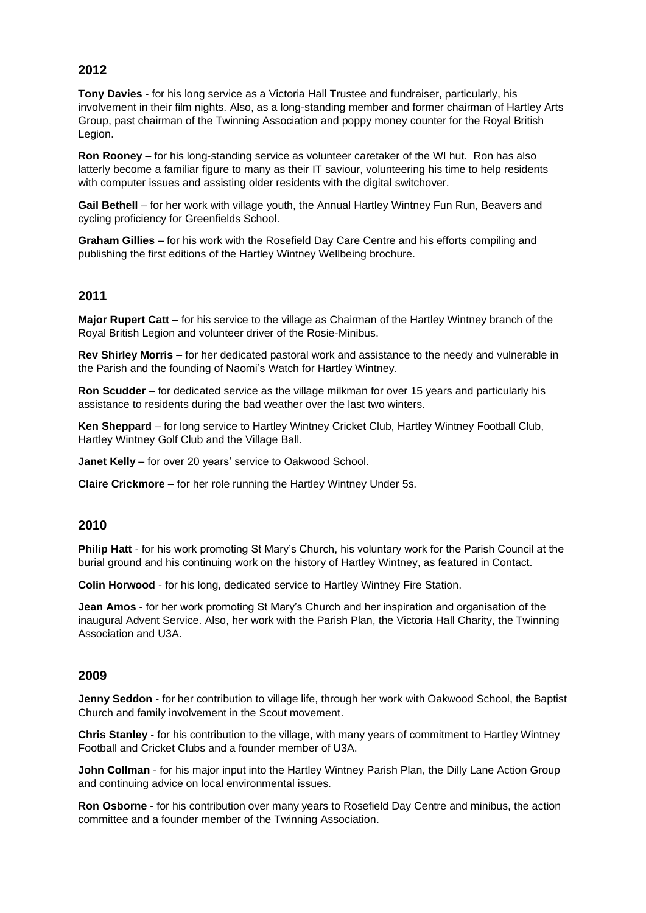# **2012**

**Tony Davies** - for his long service as a Victoria Hall Trustee and fundraiser, particularly, his involvement in their film nights. Also, as a long-standing member and former chairman of Hartley Arts Group, past chairman of the Twinning Association and poppy money counter for the Royal British Legion.

**Ron Rooney** – for his long-standing service as volunteer caretaker of the WI hut. Ron has also latterly become a familiar figure to many as their IT saviour, volunteering his time to help residents with computer issues and assisting older residents with the digital switchover.

**Gail Bethell** – for her work with village youth, the Annual Hartley Wintney Fun Run, Beavers and cycling proficiency for Greenfields School.

**Graham Gillies** – for his work with the Rosefield Day Care Centre and his efforts compiling and publishing the first editions of the Hartley Wintney Wellbeing brochure.

## **2011**

**Major Rupert Catt** – for his service to the village as Chairman of the Hartley Wintney branch of the Royal British Legion and volunteer driver of the Rosie-Minibus.

**Rev Shirley Morris** – for her dedicated pastoral work and assistance to the needy and vulnerable in the Parish and the founding of Naomi's Watch for Hartley Wintney.

**Ron Scudder** – for dedicated service as the village milkman for over 15 years and particularly his assistance to residents during the bad weather over the last two winters.

**Ken Sheppard** – for long service to Hartley Wintney Cricket Club, Hartley Wintney Football Club, Hartley Wintney Golf Club and the Village Ball.

**Janet Kelly** – for over 20 years' service to Oakwood School.

**Claire Crickmore** – for her role running the Hartley Wintney Under 5s.

#### **2010**

**Philip Hatt** - for his work promoting St Mary's Church, his voluntary work for the Parish Council at the burial ground and his continuing work on the history of Hartley Wintney, as featured in Contact.

**Colin Horwood** - for his long, dedicated service to Hartley Wintney Fire Station.

**Jean Amos** - for her work promoting St Mary's Church and her inspiration and organisation of the inaugural Advent Service. Also, her work with the Parish Plan, the Victoria Hall Charity, the Twinning Association and U3A.

#### **2009**

**Jenny Seddon** - for her contribution to village life, through her work with Oakwood School, the Baptist Church and family involvement in the Scout movement.

**Chris Stanley** - for his contribution to the village, with many years of commitment to Hartley Wintney Football and Cricket Clubs and a founder member of U3A.

**John Collman** - for his major input into the Hartley Wintney Parish Plan, the Dilly Lane Action Group and continuing advice on local environmental issues.

**Ron Osborne** - for his contribution over many years to Rosefield Day Centre and minibus, the action committee and a founder member of the Twinning Association.